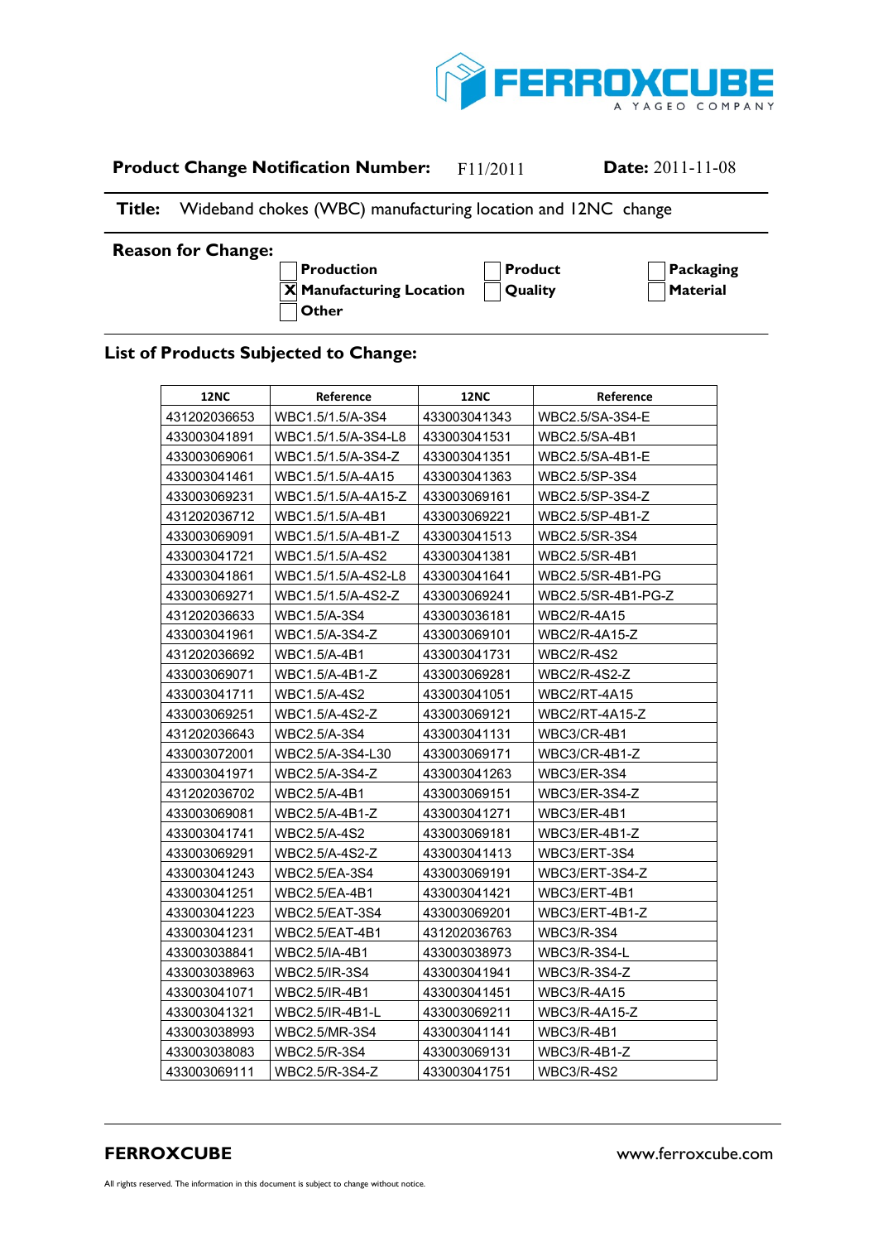

## **Product Change Notification Number:** F11/2011 **Date:** 2011-11-08

## **Title:** Wideband chokes (WBC) manufacturing location and 12NC change

## **Reason for Change:**

**A Production A Product A Packaging**  $\overline{X}$  **Manufacturing Location**  $\bigcap$  Quality  $\bigcap$  **Material A Other**

## **List of Products Subjected to Change:**

| <b>12NC</b>  | Reference           | <b>12NC</b>  | Reference           |
|--------------|---------------------|--------------|---------------------|
| 431202036653 | WBC1.5/1.5/A-3S4    | 433003041343 | WBC2.5/SA-3S4-E     |
| 433003041891 | WBC1.5/1.5/A-3S4-L8 | 433003041531 | WBC2.5/SA-4B1       |
| 433003069061 | WBC1.5/1.5/A-3S4-Z  | 433003041351 | WBC2.5/SA-4B1-E     |
| 433003041461 | WBC1.5/1.5/A-4A15   | 433003041363 | WBC2.5/SP-3S4       |
| 433003069231 | WBC1.5/1.5/A-4A15-Z | 433003069161 | WBC2.5/SP-3S4-Z     |
| 431202036712 | WBC1.5/1.5/A-4B1    | 433003069221 | WBC2.5/SP-4B1-Z     |
| 433003069091 | WBC1.5/1.5/A-4B1-Z  | 433003041513 | WBC2.5/SR-3S4       |
| 433003041721 | WBC1.5/1.5/A-4S2    | 433003041381 | WBC2.5/SR-4B1       |
| 433003041861 | WBC1.5/1.5/A-4S2-L8 | 433003041641 | WBC2.5/SR-4B1-PG    |
| 433003069271 | WBC1.5/1.5/A-4S2-Z  | 433003069241 | WBC2.5/SR-4B1-PG-Z  |
| 431202036633 | WBC1.5/A-3S4        | 433003036181 | WBC2/R-4A15         |
| 433003041961 | WBC1.5/A-3S4-Z      | 433003069101 | WBC2/R-4A15-Z       |
| 431202036692 | WBC1.5/A-4B1        | 433003041731 | WBC2/R-4S2          |
| 433003069071 | WBC1.5/A-4B1-Z      | 433003069281 | WBC2/R-4S2-Z        |
| 433003041711 | WBC1.5/A-4S2        | 433003041051 | <b>WBC2/RT-4A15</b> |
| 433003069251 | WBC1.5/A-4S2-Z      | 433003069121 | WBC2/RT-4A15-Z      |
| 431202036643 | WBC2.5/A-3S4        | 433003041131 | WBC3/CR-4B1         |
| 433003072001 | WBC2.5/A-3S4-L30    | 433003069171 | WBC3/CR-4B1-Z       |
| 433003041971 | WBC2.5/A-3S4-Z      | 433003041263 | WBC3/ER-3S4         |
| 431202036702 | WBC2.5/A-4B1        | 433003069151 | WBC3/ER-3S4-Z       |
| 433003069081 | WBC2.5/A-4B1-Z      | 433003041271 | WBC3/ER-4B1         |
| 433003041741 | WBC2.5/A-4S2        | 433003069181 | WBC3/ER-4B1-Z       |
| 433003069291 | WBC2.5/A-4S2-Z      | 433003041413 | WBC3/ERT-3S4        |
| 433003041243 | WBC2.5/EA-3S4       | 433003069191 | WBC3/ERT-3S4-Z      |
| 433003041251 | WBC2.5/EA-4B1       | 433003041421 | WBC3/ERT-4B1        |
| 433003041223 | WBC2.5/EAT-3S4      | 433003069201 | WBC3/ERT-4B1-Z      |
| 433003041231 | WBC2.5/EAT-4B1      | 431202036763 | WBC3/R-3S4          |
| 433003038841 | WBC2.5/IA-4B1       | 433003038973 | WBC3/R-3S4-L        |
| 433003038963 | WBC2.5/IR-3S4       | 433003041941 | WBC3/R-3S4-Z        |
| 433003041071 | WBC2.5/IR-4B1       | 433003041451 | WBC3/R-4A15         |
| 433003041321 | WBC2.5/IR-4B1-L     | 433003069211 | WBC3/R-4A15-Z       |
| 433003038993 | WBC2.5/MR-3S4       | 433003041141 | WBC3/R-4B1          |
| 433003038083 | WBC2.5/R-3S4        | 433003069131 | WBC3/R-4B1-Z        |
| 433003069111 | WBC2.5/R-3S4-Z      | 433003041751 | WBC3/R-4S2          |